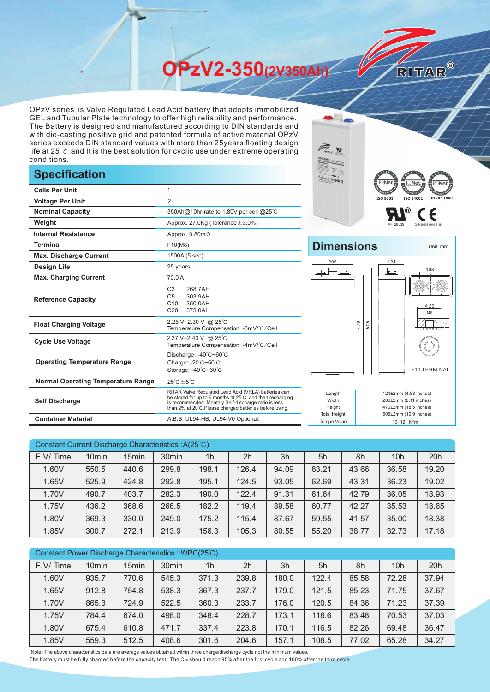**OPzV2-350(2V350Ah)** 

OPzV series is Valve Regulated Lead Acid battery that adopts immobilized GEL and Tubular Plate technology to offer high reliability and performance. The Battery is designed and manufactured according to DIN standards and with die-casting positive grid and patented formula of active material OPzV series exceeds DIN standard values with more than 25years floating design life at 25 ℃ and It is the best solution for cyclic use under extreme operating conditions.

## **Specification**

|                                           |                                                                                                                                                                                                                                     | <b>POWER COLORED AND AND ADDRESS</b>       | ह्∎ा∧∈<br>同L Net 肩                                |
|-------------------------------------------|-------------------------------------------------------------------------------------------------------------------------------------------------------------------------------------------------------------------------------------|--------------------------------------------|---------------------------------------------------|
| <b>Cells Per Unit</b>                     | 1                                                                                                                                                                                                                                   |                                            |                                                   |
| <b>Voltage Per Unit</b>                   | $\overline{2}$                                                                                                                                                                                                                      |                                            | <b>ISO 9001</b><br>ISO 140                        |
| <b>Nominal Capacity</b>                   | 350Ah@10hr-rate to 1.80V per cell @25°C                                                                                                                                                                                             |                                            |                                                   |
| Weight                                    | Approx. 27.0Kg (Tolerance $\pm$ 3.0%)                                                                                                                                                                                               |                                            |                                                   |
| <b>Internal Resistance</b>                | Approx. $0.80$ m $\Omega$                                                                                                                                                                                                           |                                            |                                                   |
| <b>Terminal</b>                           | F10(M8)                                                                                                                                                                                                                             | <b>Dimensions</b>                          |                                                   |
| <b>Max. Discharge Current</b>             | 1500A (5 sec)                                                                                                                                                                                                                       |                                            |                                                   |
| <b>Design Life</b>                        | 25 years                                                                                                                                                                                                                            | 206                                        | 124<br>H                                          |
| <b>Max. Charging Current</b>              | 70.0 A                                                                                                                                                                                                                              |                                            |                                                   |
| <b>Reference Capacity</b>                 | 268.7AH<br>C <sub>3</sub><br>C <sub>5</sub><br>303.9AH<br>C10<br>350.0AH<br>C <sub>20</sub><br>373.0AH                                                                                                                              |                                            |                                                   |
| <b>Float Charging Voltage</b>             | 2.25 V~2.30 V @ 25°C<br>Temperature Compensation: -3mV/°C/Cell                                                                                                                                                                      | 470                                        | 505                                               |
| <b>Cycle Use Voltage</b>                  | 2.37 V~2.40 V @ 25°C<br>Temperature Compensation: -4mV/°C/Cell                                                                                                                                                                      |                                            |                                                   |
| <b>Operating Temperature Range</b>        | Discharge: -40°C~60°C<br>Charge: -20°C~50°C<br>Storage: -40°C~60°C                                                                                                                                                                  |                                            | F <sub>1</sub>                                    |
| <b>Normal Operating Temperature Range</b> | $25^{\circ}$ C $\pm 5^{\circ}$ C                                                                                                                                                                                                    |                                            |                                                   |
| <b>Self Discharge</b>                     | RITAR Valve Regulated Lead Acid (VRLA) batteries can<br>be stored for up to 6 months at 25°C and then recharging<br>is recommended. Monthly Self-discharge ratio is less<br>than 2% at 20°C. Please charged batteries before using. | Length<br>Width<br>Height                  | 124±2mm (4.88<br>206±2mm (8.11 i<br>470±2mm (18.5 |
| <b>Container Material</b>                 | A.B.S. UL94-HB, UL94-V0 Optional.                                                                                                                                                                                                   | <b>Total Height</b><br><b>Torque Value</b> | 505±2mm (19.9 i<br>10~12 N*m                      |



RITAR®

## **Dimensions** Unit: mm 206 124



| Constant Current Discharge Characteristics: A(25°C) |                   |                   |       |                |                |       |       |       |       |       |
|-----------------------------------------------------|-------------------|-------------------|-------|----------------|----------------|-------|-------|-------|-------|-------|
| F.V/Time                                            | 10 <sub>min</sub> | 15 <sub>min</sub> | 30min | 1 <sub>h</sub> | 2 <sub>h</sub> | 3h    | 5h    | 8h    | 10h   | 20h   |
| 1.60V                                               | 550.5             | 440.6             | 299.8 | 198.1          | 126.4          | 94.09 | 63.21 | 43.66 | 36.58 | 19.20 |
| 1.65V                                               | 525.9             | 424.8             | 292.8 | 195.1          | 124.5          | 93.05 | 62.69 | 43.31 | 36.23 | 19.02 |
| 1.70V                                               | 490.7             | 403.7             | 282.3 | 190.0          | 122.4          | 91.31 | 61.64 | 42.79 | 36.05 | 18.93 |
| 1.75V                                               | 436.2             | 368.6             | 266.5 | 182.2          | 119.4          | 89.58 | 60.77 | 42.27 | 35.53 | 18.65 |
| 1.80V                                               | 369.3             | 330.0             | 249.0 | 175.2          | 115.4          | 87.67 | 59.55 | 41.57 | 35.00 | 18.38 |
| 1.85V                                               | 300.7             | 272.1             | 213.9 | 156.3          | 105.3          | 80.55 | 55.20 | 38.77 | 32.73 | 17.18 |

| Constant Power Discharge Characteristics: WPC(25°C) |                   |                   |                   |                |                |       |       |       |       |       |
|-----------------------------------------------------|-------------------|-------------------|-------------------|----------------|----------------|-------|-------|-------|-------|-------|
| F.V/Time                                            | 10 <sub>min</sub> | 15 <sub>min</sub> | 30 <sub>min</sub> | 1 <sub>h</sub> | 2 <sub>h</sub> | 3h    | 5h    | 8h    | 10h   | 20h   |
| 1.60V                                               | 935.7             | 770.6             | 545.3             | 371.3          | 239.8          | 180.0 | 122.4 | 85.58 | 72.28 | 37.94 |
| 1.65V                                               | 912.8             | 754.8             | 538.3             | 367.3          | 237.7          | 179.0 | 121.5 | 85.23 | 71.75 | 37.67 |
| 1.70V                                               | 865.3             | 724.9             | 522.5             | 360.3          | 233.7          | 176.0 | 120.5 | 84.36 | 71.23 | 37.39 |
| 1.75V                                               | 784.4             | 674.0             | 498.0             | 348.4          | 228.7          | 173.1 | 118.6 | 83.48 | 70.53 | 37.03 |
| 1.80V                                               | 675.4             | 610.8             | 471.7             | 337.4          | 223.8          | 170.1 | 116.5 | 82.26 | 69.48 | 36.47 |
| 1.85V                                               | 559.3             | 512.5             | 408.6             | 301.6          | 204.6          | 157.1 | 108.5 | 77.02 | 65.28 | 34.27 |

(Note) The above characteristics data are average values obtained within three charge/discharge cycle not the minimum values.

The battery must be fully charged before the capacity test. The C10 should reach 95% after the first cycle and 100% after the third cycle.